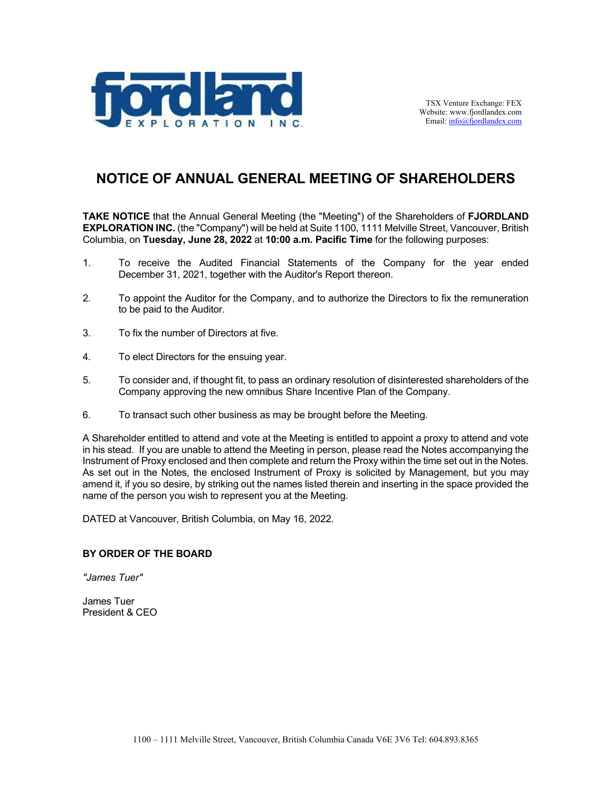

# **NOTICE OF ANNUAL GENERAL MEETING OF SHAREHOLDERS**

**TAKE NOTICE** that the Annual General Meeting (the "Meeting") of the Shareholders of **FJORDLAND EXPLORATION INC.** (the "Company") will be held at Suite 1100, 1111 Melville Street, Vancouver, British Columbia, on **Tuesday, June 28, 2022** at **10:00 a.m. Pacific Time** for the following purposes:

- 1. To receive the Audited Financial Statements of the Company for the year ended December 31, 2021, together with the Auditor's Report thereon.
- 2. To appoint the Auditor for the Company, and to authorize the Directors to fix the remuneration to be paid to the Auditor.
- 3. To fix the number of Directors at five.
- 4. To elect Directors for the ensuing year.
- 5. To consider and, if thought fit, to pass an ordinary resolution of disinterested shareholders of the Company approving the new omnibus Share Incentive Plan of the Company.
- 6. To transact such other business as may be brought before the Meeting.

A Shareholder entitled to attend and vote at the Meeting is entitled to appoint a proxy to attend and vote in his stead. If you are unable to attend the Meeting in person, please read the Notes accompanying the Instrument of Proxy enclosed and then complete and return the Proxy within the time set out in the Notes. As set out in the Notes, the enclosed Instrument of Proxy is solicited by Management, but you may amend it, if you so desire, by striking out the names listed therein and inserting in the space provided the name of the person you wish to represent you at the Meeting.

DATED at Vancouver, British Columbia, on May 16, 2022.

#### **BY ORDER OF THE BOARD**

*"James Tuer"*

James Tuer President & CEO